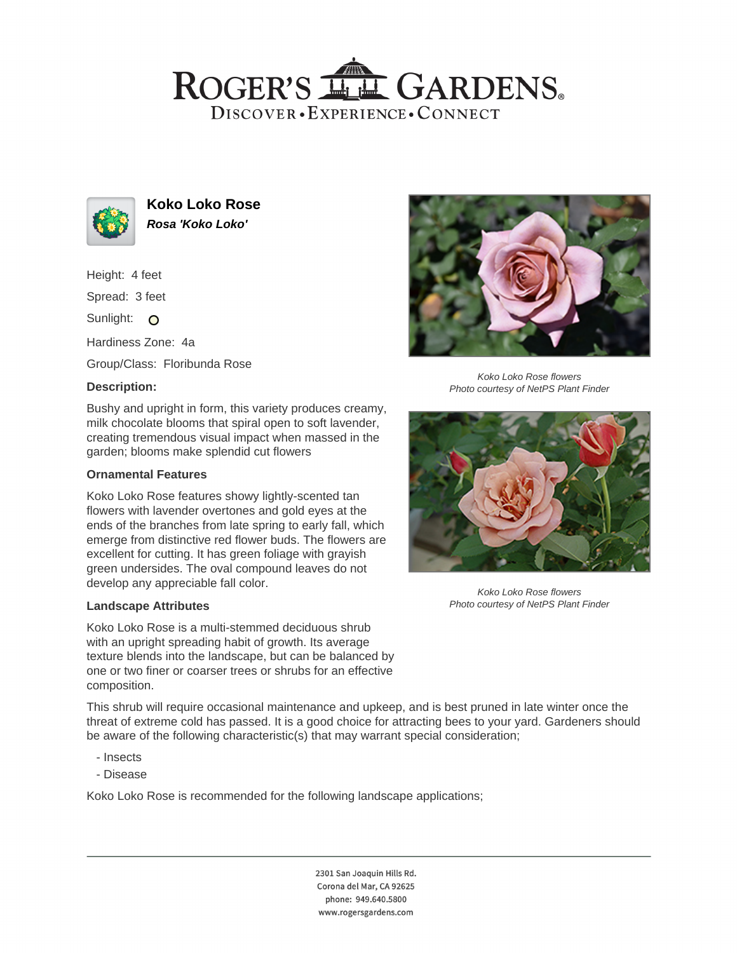# ROGER'S LL GARDENS. DISCOVER · EXPERIENCE · CONNECT



**Koko Loko Rose Rosa 'Koko Loko'**

Height: 4 feet

Spread: 3 feet

Sunlight: O

Hardiness Zone: 4a

Group/Class: Floribunda Rose

## **Description:**

Bushy and upright in form, this variety produces creamy, milk chocolate blooms that spiral open to soft lavender, creating tremendous visual impact when massed in the garden; blooms make splendid cut flowers

### **Ornamental Features**

Koko Loko Rose features showy lightly-scented tan flowers with lavender overtones and gold eyes at the ends of the branches from late spring to early fall, which emerge from distinctive red flower buds. The flowers are excellent for cutting. It has green foliage with grayish green undersides. The oval compound leaves do not develop any appreciable fall color.

#### **Landscape Attributes**

Koko Loko Rose is a multi-stemmed deciduous shrub with an upright spreading habit of growth. Its average texture blends into the landscape, but can be balanced by one or two finer or coarser trees or shrubs for an effective composition.

Koko Loko Rose flowers Photo courtesy of NetPS Plant Finder



Koko Loko Rose flowers Photo courtesy of NetPS Plant Finder

This shrub will require occasional maintenance and upkeep, and is best pruned in late winter once the threat of extreme cold has passed. It is a good choice for attracting bees to your yard. Gardeners should be aware of the following characteristic(s) that may warrant special consideration;

- Insects
- Disease

Koko Loko Rose is recommended for the following landscape applications;

2301 San Joaquin Hills Rd. Corona del Mar, CA 92625 phone: 949.640.5800 www.rogersgardens.com